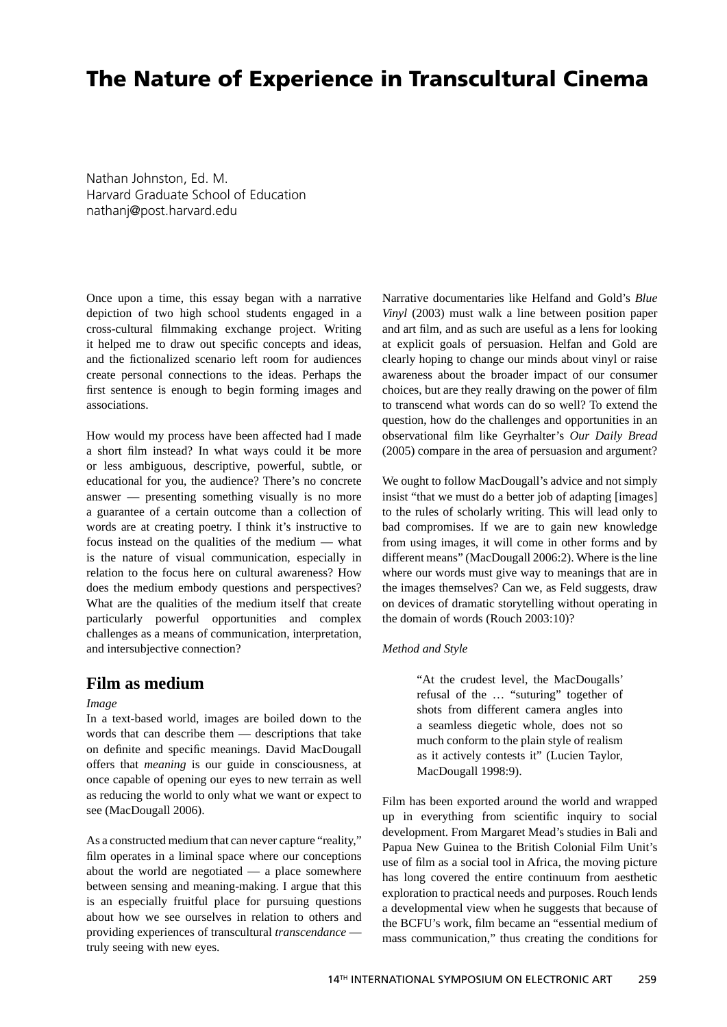# **The Nature of Experience in Transcultural Cinema**

Nathan Johnston, Ed. M. Harvard Graduate School of Education nathanj@post.harvard.edu

Once upon a time, this essay began with a narrative depiction of two high school students engaged in a cross-cultural filmmaking exchange project. Writing it helped me to draw out specific concepts and ideas, and the fictionalized scenario left room for audiences create personal connections to the ideas. Perhaps the first sentence is enough to begin forming images and associations.

How would my process have been affected had I made a short film instead? In what ways could it be more or less ambiguous, descriptive, powerful, subtle, or educational for you, the audience? There's no concrete answer — presenting something visually is no more a guarantee of a certain outcome than a collection of words are at creating poetry. I think it's instructive to focus instead on the qualities of the medium — what is the nature of visual communication, especially in relation to the focus here on cultural awareness? How does the medium embody questions and perspectives? What are the qualities of the medium itself that create particularly powerful opportunities and complex challenges as a means of communication, interpretation, and intersubjective connection?

## **Film as medium**

#### *Image*

In a text-based world, images are boiled down to the words that can describe them — descriptions that take on definite and specific meanings. David MacDougall offers that *meaning* is our guide in consciousness, at once capable of opening our eyes to new terrain as well as reducing the world to only what we want or expect to see (MacDougall 2006).

As a constructed medium that can never capture "reality," film operates in a liminal space where our conceptions about the world are negotiated — a place somewhere between sensing and meaning-making. I argue that this is an especially fruitful place for pursuing questions about how we see ourselves in relation to others and providing experiences of transcultural *transcendance* truly seeing with new eyes.

Narrative documentaries like Helfand and Gold's *Blue Vinyl* (2003) must walk a line between position paper and art film, and as such are useful as a lens for looking at explicit goals of persuasion. Helfan and Gold are clearly hoping to change our minds about vinyl or raise awareness about the broader impact of our consumer choices, but are they really drawing on the power of film to transcend what words can do so well? To extend the question, how do the challenges and opportunities in an observational film like Geyrhalter's Our Daily Bread (2005) compare in the area of persuasion and argument?

We ought to follow MacDougall's advice and not simply insist "that we must do a better job of adapting [images] to the rules of scholarly writing. This will lead only to bad compromises. If we are to gain new knowledge from using images, it will come in other forms and by different means" (MacDougall 2006:2). Where is the line where our words must give way to meanings that are in the images themselves? Can we, as Feld suggests, draw on devices of dramatic storytelling without operating in the domain of words (Rouch 2003:10)?

#### *Method and Style*

"At the crudest level, the MacDougalls' refusal of the … "suturing" together of shots from different camera angles into a seamless diegetic whole, does not so much conform to the plain style of realism as it actively contests it" (Lucien Taylor, MacDougall 1998:9).

Film has been exported around the world and wrapped up in everything from scientific inquiry to social development. From Margaret Mead's studies in Bali and Papua New Guinea to the British Colonial Film Unit's use of film as a social tool in Africa, the moving picture has long covered the entire continuum from aesthetic exploration to practical needs and purposes. Rouch lends a developmental view when he suggests that because of the BCFU's work, film became an "essential medium of mass communication," thus creating the conditions for